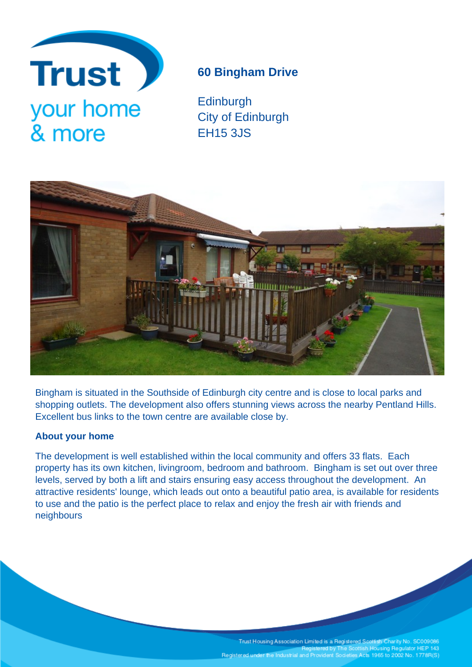

# **60 Bingham Drive**

**Edinburgh** City of Edinburgh EH15 3JS



Bingham is situated in the Southside of Edinburgh city centre and is close to local parks and shopping outlets. The development also offers stunning views across the nearby Pentland Hills. Excellent bus links to the town centre are available close by.

# **About your home**

The development is well established within the local community and offers 33 flats. Each property has its own kitchen, livingroom, bedroom and bathroom. Bingham is set out over three levels, served by both a lift and stairs ensuring easy access throughout the development. An attractive residents' lounge, which leads out onto a beautiful patio area, is available for residents to use and the patio is the perfect place to relax and enjoy the fresh air with friends and neighbours

> Trust Housing Association Limited is a Registered Scottish Charity No. SC009086<br>Registered by The Scottish Housing Regulator HEP 143 Registered under the Industrial and Provident Societies Acts 1965 to 2002 No. 1778R(S)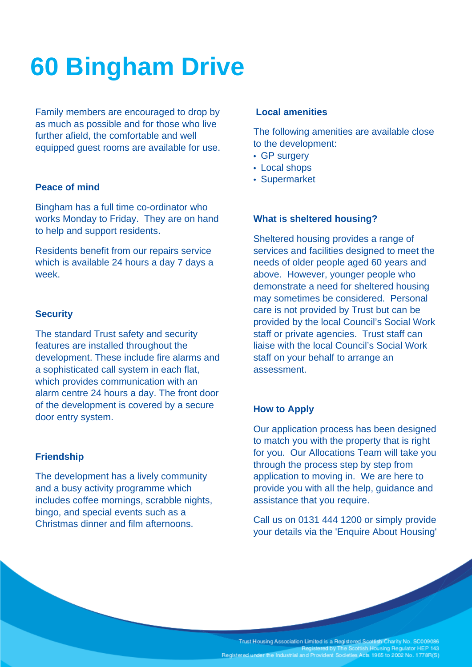# **60 Bingham Drive**

Family members are encouraged to drop by as much as possible and for those who live further afield, the comfortable and well equipped guest rooms are available for use.

## **Peace of mind**

Bingham has a full time co-ordinator who works Monday to Friday. They are on hand to help and support residents.

Residents benefit from our repairs service which is available 24 hours a day 7 days a week.

#### **Security**

The standard Trust safety and security features are installed throughout the development. These include fire alarms and a sophisticated call system in each flat, which provides communication with an alarm centre 24 hours a day. The front door of the development is covered by a secure door entry system.

#### **Friendship**

The development has a lively community and a busy activity programme which includes coffee mornings, scrabble nights, bingo, and special events such as a Christmas dinner and film afternoons.

#### **Local amenities**

The following amenities are available close to the development:

- GP surgery
- Local shops
- Supermarket

### **What is sheltered housing?**

Sheltered housing provides a range of services and facilities designed to meet the needs of older people aged 60 years and above. However, younger people who demonstrate a need for sheltered housing may sometimes be considered. Personal care is not provided by Trust but can be provided by the local Council's Social Work staff or private agencies. Trust staff can liaise with the local Council's Social Work staff on your behalf to arrange an assessment.

## **How to Apply**

Our application process has been designed to match you with the property that is right for you. Our Allocations Team will take you through the process step by step from application to moving in. We are here to provide you with all the help, guidance and assistance that you require.

Call us on 0131 444 1200 or simply provide your details via the 'Enquire About Housing'

Trust Housing Association Limited is a Registered Scottish Charity No. SC009086<br>Registered by The Scottish Housing Regulator HEP 143 Registered under the Industrial and Provident Societies Acts 1965 to 2002 No. 1778R(S)